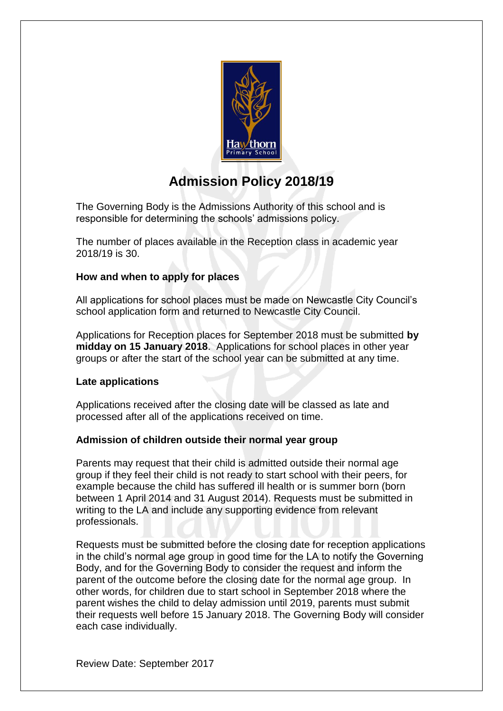

# **Admission Policy 2018/19**

The Governing Body is the Admissions Authority of this school and is responsible for determining the schools' admissions policy.

The number of places available in the Reception class in academic year 2018/19 is 30.

# **How and when to apply for places**

All applications for school places must be made on Newcastle City Council's school application form and returned to Newcastle City Council.

Applications for Reception places for September 2018 must be submitted **by midday on 15 January 2018**. Applications for school places in other year groups or after the start of the school year can be submitted at any time.

# **Late applications**

Applications received after the closing date will be classed as late and processed after all of the applications received on time.

# **Admission of children outside their normal year group**

Parents may request that their child is admitted outside their normal age group if they feel their child is not ready to start school with their peers, for example because the child has suffered ill health or is summer born (born between 1 April 2014 and 31 August 2014). Requests must be submitted in writing to the LA and include any supporting evidence from relevant professionals.

Requests must be submitted before the closing date for reception applications in the child's normal age group in good time for the LA to notify the Governing Body, and for the Governing Body to consider the request and inform the parent of the outcome before the closing date for the normal age group. In other words, for children due to start school in September 2018 where the parent wishes the child to delay admission until 2019, parents must submit their requests well before 15 January 2018. The Governing Body will consider each case individually.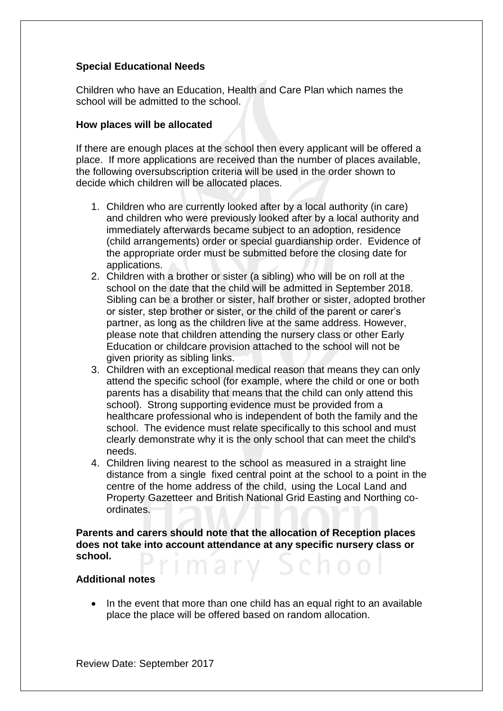# **Special Educational Needs**

Children who have an Education, Health and Care Plan which names the school will be admitted to the school.

### **How places will be allocated**

If there are enough places at the school then every applicant will be offered a place. If more applications are received than the number of places available, the following oversubscription criteria will be used in the order shown to decide which children will be allocated places.

- 1. Children who are currently looked after by a local authority (in care) and children who were previously looked after by a local authority and immediately afterwards became subject to an adoption, residence (child arrangements) order or special guardianship order. Evidence of the appropriate order must be submitted before the closing date for applications.
- 2. Children with a brother or sister (a sibling) who will be on roll at the school on the date that the child will be admitted in September 2018. Sibling can be a brother or sister, half brother or sister, adopted brother or sister, step brother or sister, or the child of the parent or carer's partner, as long as the children live at the same address. However, please note that children attending the nursery class or other Early Education or childcare provision attached to the school will not be given priority as sibling links.
- 3. Children with an exceptional medical reason that means they can only attend the specific school (for example, where the child or one or both parents has a disability that means that the child can only attend this school). Strong supporting evidence must be provided from a healthcare professional who is independent of both the family and the school. The evidence must relate specifically to this school and must clearly demonstrate why it is the only school that can meet the child's needs.
- 4. Children living nearest to the school as measured in a straight line distance from a single fixed central point at the school to a point in the centre of the home address of the child, using the Local Land and Property Gazetteer and British National Grid Easting and Northing coordinates.

**Parents and carers should note that the allocation of Reception places does not take into account attendance at any specific nursery class or school.** 

#### **Additional notes**

 In the event that more than one child has an equal right to an available place the place will be offered based on random allocation.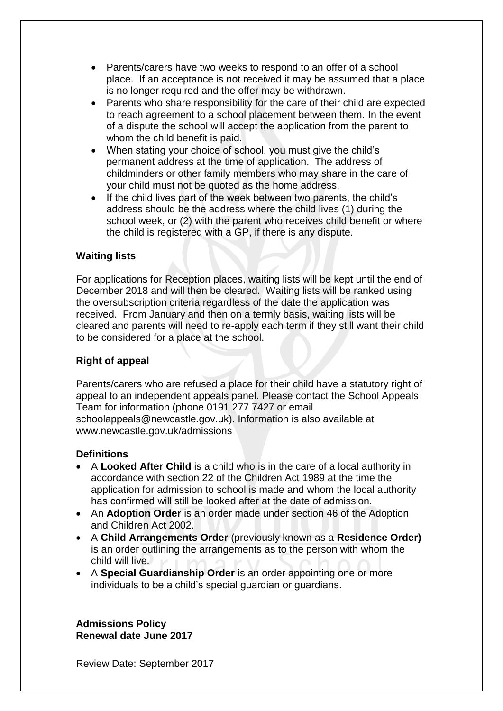- Parents/carers have two weeks to respond to an offer of a school place. If an acceptance is not received it may be assumed that a place is no longer required and the offer may be withdrawn.
- Parents who share responsibility for the care of their child are expected to reach agreement to a school placement between them. In the event of a dispute the school will accept the application from the parent to whom the child benefit is paid.
- When stating your choice of school, you must give the child's permanent address at the time of application. The address of childminders or other family members who may share in the care of your child must not be quoted as the home address.
- If the child lives part of the week between two parents, the child's address should be the address where the child lives (1) during the school week, or (2) with the parent who receives child benefit or where the child is registered with a GP, if there is any dispute.

# **Waiting lists**

For applications for Reception places, waiting lists will be kept until the end of December 2018 and will then be cleared. Waiting lists will be ranked using the oversubscription criteria regardless of the date the application was received. From January and then on a termly basis, waiting lists will be cleared and parents will need to re-apply each term if they still want their child to be considered for a place at the school.

# **Right of appeal**

Parents/carers who are refused a place for their child have a statutory right of appeal to an independent appeals panel. Please contact the School Appeals Team for information (phone 0191 277 7427 or email schoolappeals@newcastle.gov.uk). Information is also available at www.newcastle.gov.uk/admissions

# **Definitions**

- A **Looked After Child** is a child who is in the care of a local authority in accordance with section 22 of the Children Act 1989 at the time the application for admission to school is made and whom the local authority has confirmed will still be looked after at the date of admission.
- An **Adoption Order** is an order made under section 46 of the Adoption and Children Act 2002.
- A **Child Arrangements Order** (previously known as a **Residence Order)** is an order outlining the arrangements as to the person with whom the child will live.
- A **Special Guardianship Order** is an order appointing one or more individuals to be a child's special guardian or guardians.

**Admissions Policy Renewal date June 2017**

Review Date: September 2017